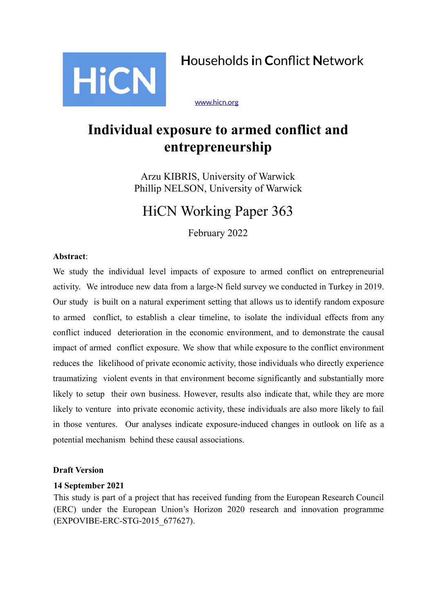

[www.hicn.org](http://www.hicn.org/)

# **Individual exposure to armed conflict and entrepreneurship**

Arzu KIBRIS, University of Warwick Phillip NELSON, University of Warwick

# HiCN Working Paper 363

February 2022

# **Abstract**:

We study the individual level impacts of exposure to armed conflict on entrepreneurial activity. We introduce new data from a large-N field survey we conducted in Turkey in 2019. Our study is built on a natural experiment setting that allows us to identify random exposure to armed conflict, to establish a clear timeline, to isolate the individual effects from any conflict induced deterioration in the economic environment, and to demonstrate the causal impact of armed conflict exposure. We show that while exposure to the conflict environment reduces the likelihood of private economic activity, those individuals who directly experience traumatizing violent events in that environment become significantly and substantially more likely to setup their own business. However, results also indicate that, while they are more likely to venture into private economic activity, these individuals are also more likely to fail in those ventures. Our analyses indicate exposure-induced changes in outlook on life as a potential mechanism behind these causal associations.

# **Draft Version**

# **14 September 2021**

This study is part of a project that has received funding from the European Research Council (ERC) under the European Union's Horizon 2020 research and innovation programme (EXPOVIBE-ERC-STG-2015\_677627).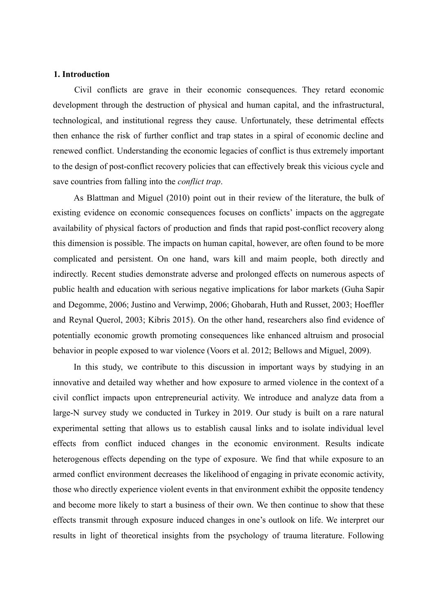## **1. Introduction**

Civil conflicts are grave in their economic consequences. They retard economic development through the destruction of physical and human capital, and the infrastructural, technological, and institutional regress they cause. Unfortunately, these detrimental effects then enhance the risk of further conflict and trap states in a spiral of economic decline and renewed conflict. Understanding the economic legacies of conflict is thus extremely important to the design of post-conflict recovery policies that can effectively break this vicious cycle and save countries from falling into the *conflict trap*.

As Blattman and Miguel (2010) point out in their review of the literature, the bulk of existing evidence on economic consequences focuses on conflicts' impacts on the aggregate availability of physical factors of production and finds that rapid post-conflict recovery along this dimension is possible. The impacts on human capital, however, are often found to be more complicated and persistent. On one hand, wars kill and maim people, both directly and indirectly. Recent studies demonstrate adverse and prolonged effects on numerous aspects of public health and education with serious negative implications for labor markets (Guha Sapir and Degomme, 2006; Justino and Verwimp, 2006; Ghobarah, Huth and Russet, 2003; Hoeffler and Reynal Querol, 2003; Kibris 2015). On the other hand, researchers also find evidence of potentially economic growth promoting consequences like enhanced altruism and prosocial behavior in people exposed to war violence (Voors et al. 2012; Bellows and Miguel, 2009).

In this study, we contribute to this discussion in important ways by studying in an innovative and detailed way whether and how exposure to armed violence in the context of a civil conflict impacts upon entrepreneurial activity. We introduce and analyze data from a large-N survey study we conducted in Turkey in 2019. Our study is built on a rare natural experimental setting that allows us to establish causal links and to isolate individual level effects from conflict induced changes in the economic environment. Results indicate heterogenous effects depending on the type of exposure. We find that while exposure to an armed conflict environment decreases the likelihood of engaging in private economic activity, those who directly experience violent events in that environment exhibit the opposite tendency and become more likely to start a business of their own. We then continue to show that these effects transmit through exposure induced changes in one's outlook on life. We interpret our results in light of theoretical insights from the psychology of trauma literature. Following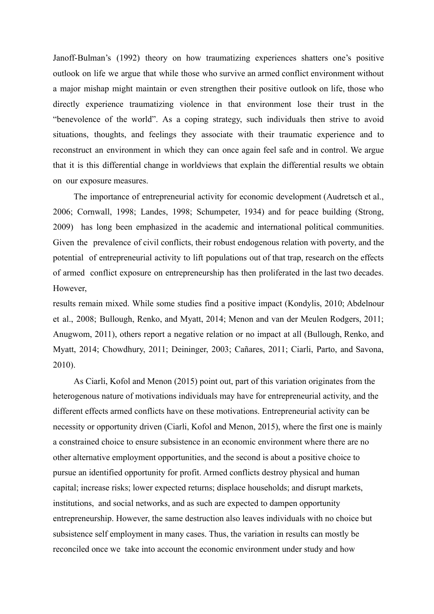Janoff-Bulman's (1992) theory on how traumatizing experiences shatters one's positive outlook on life we argue that while those who survive an armed conflict environment without a major mishap might maintain or even strengthen their positive outlook on life, those who directly experience traumatizing violence in that environment lose their trust in the "benevolence of the world". As a coping strategy, such individuals then strive to avoid situations, thoughts, and feelings they associate with their traumatic experience and to reconstruct an environment in which they can once again feel safe and in control. We argue that it is this differential change in worldviews that explain the differential results we obtain on our exposure measures.

The importance of entrepreneurial activity for economic development (Audretsch et al., 2006; Cornwall, 1998; Landes, 1998; Schumpeter, 1934) and for peace building (Strong, 2009) has long been emphasized in the academic and international political communities. Given the prevalence of civil conflicts, their robust endogenous relation with poverty, and the potential of entrepreneurial activity to lift populations out of that trap, research on the effects of armed conflict exposure on entrepreneurship has then proliferated in the last two decades. However,

results remain mixed. While some studies find a positive impact (Kondylis, 2010; Abdelnour et al., 2008; Bullough, Renko, and Myatt, 2014; Menon and van der Meulen Rodgers, 2011; Anugwom, 2011), others report a negative relation or no impact at all (Bullough, Renko, and Myatt, 2014; Chowdhury, 2011; Deininger, 2003; Cañares, 2011; Ciarli, Parto, and Savona, 2010).

As Ciarli, Kofol and Menon (2015) point out, part of this variation originates from the heterogenous nature of motivations individuals may have for entrepreneurial activity, and the different effects armed conflicts have on these motivations. Entrepreneurial activity can be necessity or opportunity driven (Ciarli, Kofol and Menon, 2015), where the first one is mainly a constrained choice to ensure subsistence in an economic environment where there are no other alternative employment opportunities, and the second is about a positive choice to pursue an identified opportunity for profit. Armed conflicts destroy physical and human capital; increase risks; lower expected returns; displace households; and disrupt markets, institutions, and social networks, and as such are expected to dampen opportunity entrepreneurship. However, the same destruction also leaves individuals with no choice but subsistence self employment in many cases. Thus, the variation in results can mostly be reconciled once we take into account the economic environment under study and how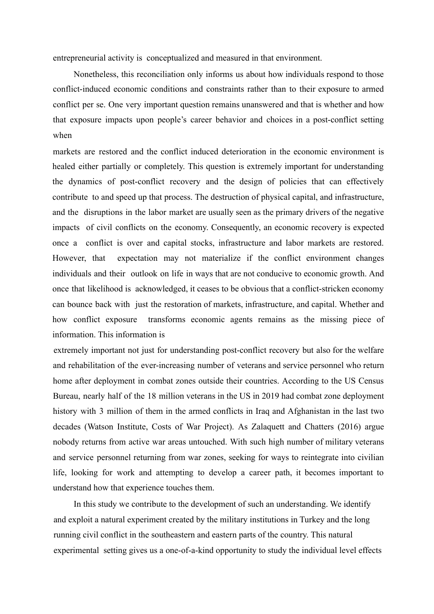entrepreneurial activity is conceptualized and measured in that environment.

Nonetheless, this reconciliation only informs us about how individuals respond to those conflict-induced economic conditions and constraints rather than to their exposure to armed conflict per se. One very important question remains unanswered and that is whether and how that exposure impacts upon people's career behavior and choices in a post-conflict setting when

markets are restored and the conflict induced deterioration in the economic environment is healed either partially or completely. This question is extremely important for understanding the dynamics of post-conflict recovery and the design of policies that can effectively contribute to and speed up that process. The destruction of physical capital, and infrastructure, and the disruptions in the labor market are usually seen as the primary drivers of the negative impacts of civil conflicts on the economy. Consequently, an economic recovery is expected once a conflict is over and capital stocks, infrastructure and labor markets are restored. However, that expectation may not materialize if the conflict environment changes individuals and their outlook on life in ways that are not conducive to economic growth. And once that likelihood is acknowledged, it ceases to be obvious that a conflict-stricken economy can bounce back with just the restoration of markets, infrastructure, and capital. Whether and how conflict exposure transforms economic agents remains as the missing piece of information. This information is

extremely important not just for understanding post-conflict recovery but also for the welfare and rehabilitation of the ever-increasing number of veterans and service personnel who return home after deployment in combat zones outside their countries. According to the US Census Bureau, nearly half of the 18 million veterans in the US in 2019 had combat zone deployment history with 3 million of them in the armed conflicts in Iraq and Afghanistan in the last two decades (Watson Institute, Costs of War Project). As Zalaquett and Chatters (2016) argue nobody returns from active war areas untouched. With such high number of military veterans and service personnel returning from war zones, seeking for ways to reintegrate into civilian life, looking for work and attempting to develop a career path, it becomes important to understand how that experience touches them.

In this study we contribute to the development of such an understanding. We identify and exploit a natural experiment created by the military institutions in Turkey and the long running civil conflict in the southeastern and eastern parts of the country. This natural experimental setting gives us a one-of-a-kind opportunity to study the individual level effects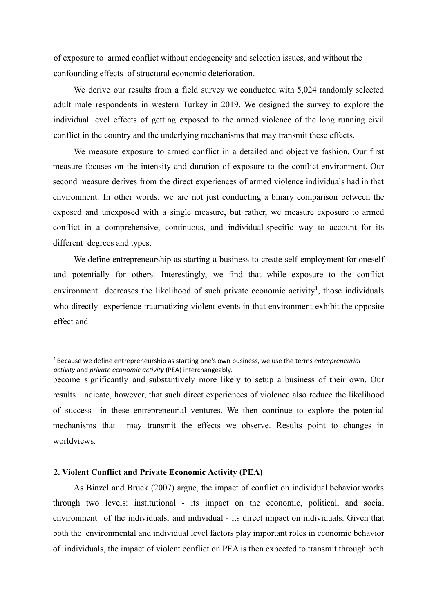of exposure to armed conflict without endogeneity and selection issues, and without the confounding effects of structural economic deterioration.

We derive our results from a field survey we conducted with 5,024 randomly selected adult male respondents in western Turkey in 2019. We designed the survey to explore the individual level effects of getting exposed to the armed violence of the long running civil conflict in the country and the underlying mechanisms that may transmit these effects.

We measure exposure to armed conflict in a detailed and objective fashion. Our first measure focuses on the intensity and duration of exposure to the conflict environment. Our second measure derives from the direct experiences of armed violence individuals had in that environment. In other words, we are not just conducting a binary comparison between the exposed and unexposed with a single measure, but rather, we measure exposure to armed conflict in a comprehensive, continuous, and individual-specific way to account for its different degrees and types.

We define entrepreneurship as starting a business to create self-employment for oneself and potentially for others. Interestingly, we find that while exposure to the conflict environment decreases the likelihood of such private economic activity<sup>1</sup>, those individuals who directly experience traumatizing violent events in that environment exhibit the opposite effect and

become significantly and substantively more likely to setup a business of their own. Our results indicate, however, that such direct experiences of violence also reduce the likelihood of success in these entrepreneurial ventures. We then continue to explore the potential mechanisms that may transmit the effects we observe. Results point to changes in worldviews.

## **2. Violent Conflict and Private Economic Activity (PEA)**

As Binzel and Bruck (2007) argue, the impact of conflict on individual behavior works through two levels: institutional - its impact on the economic, political, and social environment of the individuals, and individual - its direct impact on individuals. Given that both the environmental and individual level factors play important roles in economic behavior of individuals, the impact of violent conflict on PEA is then expected to transmit through both

<sup>1</sup> Because we define entrepreneurship as starting one's own business, we use the terms *entrepreneurial activity* and *private economic activity* (PEA) interchangeably.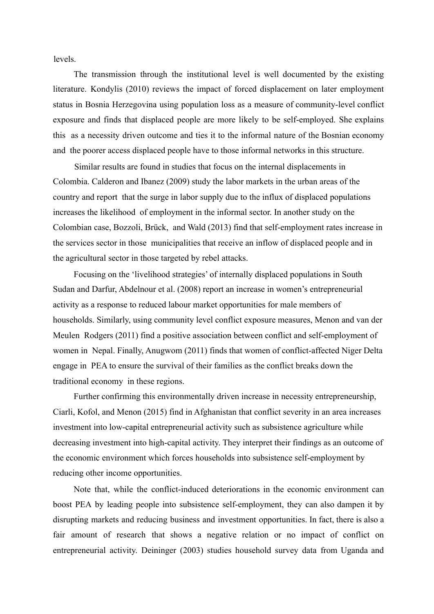levels.

The transmission through the institutional level is well documented by the existing literature. Kondylis (2010) reviews the impact of forced displacement on later employment status in Bosnia Herzegovina using population loss as a measure of community-level conflict exposure and finds that displaced people are more likely to be self-employed. She explains this as a necessity driven outcome and ties it to the informal nature of the Bosnian economy and the poorer access displaced people have to those informal networks in this structure.

Similar results are found in studies that focus on the internal displacements in Colombia. Calderon and Ibanez (2009) study the labor markets in the urban areas of the country and report that the surge in labor supply due to the influx of displaced populations increases the likelihood of employment in the informal sector. In another study on the Colombian case, Bozzoli, Brück, and Wald (2013) find that self-employment rates increase in the services sector in those municipalities that receive an inflow of displaced people and in the agricultural sector in those targeted by rebel attacks.

Focusing on the 'livelihood strategies' of internally displaced populations in South Sudan and Darfur, Abdelnour et al. (2008) report an increase in women's entrepreneurial activity as a response to reduced labour market opportunities for male members of households. Similarly, using community level conflict exposure measures, Menon and van der Meulen Rodgers (2011) find a positive association between conflict and self-employment of women in Nepal. Finally, Anugwom (2011) finds that women of conflict-affected Niger Delta engage in PEA to ensure the survival of their families as the conflict breaks down the traditional economy in these regions.

Further confirming this environmentally driven increase in necessity entrepreneurship, Ciarli, Kofol, and Menon (2015) find in Afghanistan that conflict severity in an area increases investment into low-capital entrepreneurial activity such as subsistence agriculture while decreasing investment into high-capital activity. They interpret their findings as an outcome of the economic environment which forces households into subsistence self-employment by reducing other income opportunities.

Note that, while the conflict-induced deteriorations in the economic environment can boost PEA by leading people into subsistence self-employment, they can also dampen it by disrupting markets and reducing business and investment opportunities. In fact, there is also a fair amount of research that shows a negative relation or no impact of conflict on entrepreneurial activity. Deininger (2003) studies household survey data from Uganda and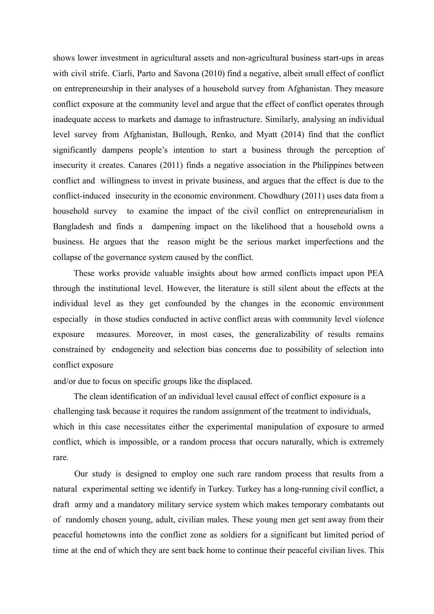shows lower investment in agricultural assets and non-agricultural business start-ups in areas with civil strife. Ciarli, Parto and Savona (2010) find a negative, albeit small effect of conflict on entrepreneurship in their analyses of a household survey from Afghanistan. They measure conflict exposure at the community level and argue that the effect of conflict operates through inadequate access to markets and damage to infrastructure. Similarly, analysing an individual level survey from Afghanistan, Bullough, Renko, and Myatt (2014) find that the conflict significantly dampens people's intention to start a business through the perception of insecurity it creates. Canares (2011) finds a negative association in the Philippines between conflict and willingness to invest in private business, and argues that the effect is due to the conflict-induced insecurity in the economic environment. Chowdhury (2011) uses data from a household survey to examine the impact of the civil conflict on entrepreneurialism in Bangladesh and finds a dampening impact on the likelihood that a household owns a business. He argues that the reason might be the serious market imperfections and the collapse of the governance system caused by the conflict.

These works provide valuable insights about how armed conflicts impact upon PEA through the institutional level. However, the literature is still silent about the effects at the individual level as they get confounded by the changes in the economic environment especially in those studies conducted in active conflict areas with community level violence exposure measures. Moreover, in most cases, the generalizability of results remains constrained by endogeneity and selection bias concerns due to possibility of selection into conflict exposure

and/or due to focus on specific groups like the displaced.

The clean identification of an individual level causal effect of conflict exposure is a challenging task because it requires the random assignment of the treatment to individuals, which in this case necessitates either the experimental manipulation of exposure to armed conflict, which is impossible, or a random process that occurs naturally, which is extremely rare.

Our study is designed to employ one such rare random process that results from a natural experimental setting we identify in Turkey. Turkey has a long-running civil conflict, a draft army and a mandatory military service system which makes temporary combatants out of randomly chosen young, adult, civilian males. These young men get sent away from their peaceful hometowns into the conflict zone as soldiers for a significant but limited period of time at the end of which they are sent back home to continue their peaceful civilian lives. This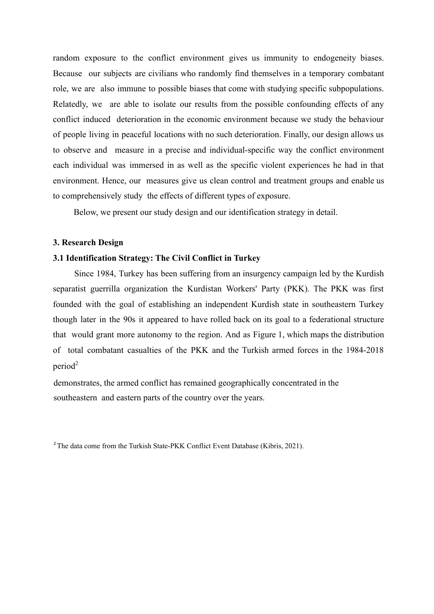random exposure to the conflict environment gives us immunity to endogeneity biases. Because our subjects are civilians who randomly find themselves in a temporary combatant role, we are also immune to possible biases that come with studying specific subpopulations. Relatedly, we are able to isolate our results from the possible confounding effects of any conflict induced deterioration in the economic environment because we study the behaviour of people living in peaceful locations with no such deterioration. Finally, our design allows us to observe and measure in a precise and individual-specific way the conflict environment each individual was immersed in as well as the specific violent experiences he had in that environment. Hence, our measures give us clean control and treatment groups and enable us to comprehensively study the effects of different types of exposure.

Below, we present our study design and our identification strategy in detail.

## **3. Research Design**

# **3.1 Identification Strategy: The Civil Conflict in Turkey**

Since 1984, Turkey has been suffering from an insurgency campaign led by the Kurdish separatist guerrilla organization the Kurdistan Workers' Party (PKK). The PKK was first founded with the goal of establishing an independent Kurdish state in southeastern Turkey though later in the 90s it appeared to have rolled back on its goal to a federational structure that would grant more autonomy to the region. And as Figure 1, which maps the distribution of total combatant casualties of the PKK and the Turkish armed forces in the 1984-2018  $period<sup>2</sup>$ 

demonstrates, the armed conflict has remained geographically concentrated in the southeastern and eastern parts of the country over the years.

<sup>2</sup>The data come from the Turkish State-PKK Conflict Event Database (Kibris, 2021).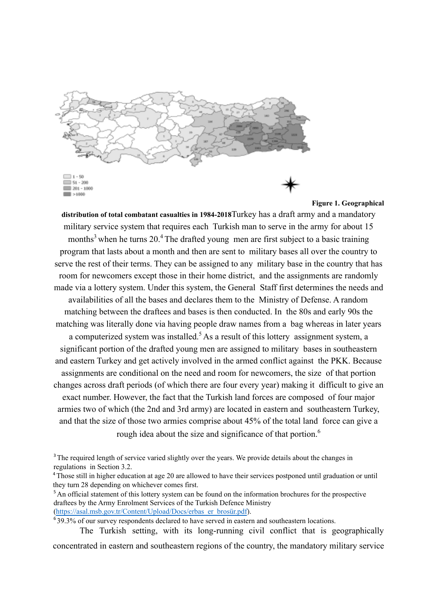

**Figure 1. Geographical**

**distribution of total combatant casualties in 1984-2018**Turkey has a draft army and a mandatory military service system that requires each Turkish man to serve in the army for about 15 months<sup>3</sup> when he turns  $20<sup>4</sup>$ . The drafted young men are first subject to a basic training program that lasts about a month and then are sent to military bases all over the country to serve the rest of their terms. They can be assigned to any military base in the country that has room for newcomers except those in their home district, and the assignments are randomly made via a lottery system. Under this system, the General Staff first determines the needs and availabilities of all the bases and declares them to the Ministry of Defense. A random matching between the draftees and bases is then conducted. In the 80s and early 90s the matching was literally done via having people draw names from a bag whereas in later years a computerized system was installed.<sup>5</sup> As a result of this lottery assignment system, a significant portion of the drafted young men are assigned to military bases in southeastern and eastern Turkey and get actively involved in the armed conflict against the PKK. Because assignments are conditional on the need and room for newcomers, the size of that portion changes across draft periods (of which there are four every year) making it difficult to give an exact number. However, the fact that the Turkish land forces are composed of four major armies two of which (the 2nd and 3rd army) are located in eastern and southeastern Turkey, and that the size of those two armies comprise about 45% of the total land force can give a rough idea about the size and significance of that portion.<sup>6</sup>

<sup>3</sup>The required length of service varied slightly over the years. We provide details about the changes in regulations in Section 3.2.

<sup>4</sup>Those still in higher education at age 20 are allowed to have their services postponed until graduation or until they turn 28 depending on whichever comes first.

<sup>5</sup> An official statement of this lottery system can be found on the information brochures for the prospective draftees by the Army Enrolment Services of the Turkish Defence Ministry (https://asal.msb.gov.tr/Content/Upload/Docs/erbas\_er\_brosür.pdf).

<sup>6</sup> 39.3% of our survey respondents declared to have served in eastern and southeastern locations.

The Turkish setting, with its long-running civil conflict that is geographically

concentrated in eastern and southeastern regions of the country, the mandatory military service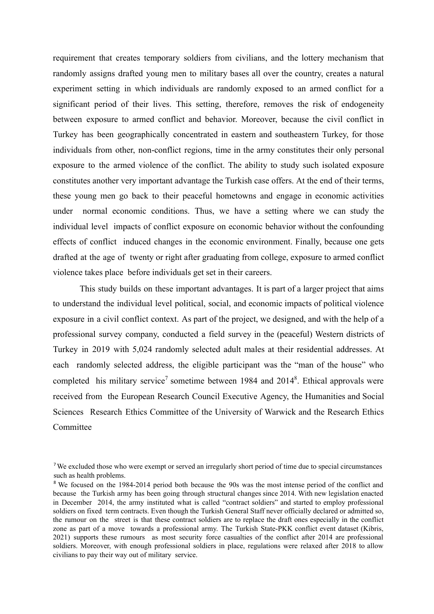requirement that creates temporary soldiers from civilians, and the lottery mechanism that randomly assigns drafted young men to military bases all over the country, creates a natural experiment setting in which individuals are randomly exposed to an armed conflict for a significant period of their lives. This setting, therefore, removes the risk of endogeneity between exposure to armed conflict and behavior. Moreover, because the civil conflict in Turkey has been geographically concentrated in eastern and southeastern Turkey, for those individuals from other, non-conflict regions, time in the army constitutes their only personal exposure to the armed violence of the conflict. The ability to study such isolated exposure constitutes another very important advantage the Turkish case offers. At the end of their terms, these young men go back to their peaceful hometowns and engage in economic activities under normal economic conditions. Thus, we have a setting where we can study the individual level impacts of conflict exposure on economic behavior without the confounding effects of conflict induced changes in the economic environment. Finally, because one gets drafted at the age of twenty or right after graduating from college, exposure to armed conflict violence takes place before individuals get set in their careers.

This study builds on these important advantages. It is part of a larger project that aims to understand the individual level political, social, and economic impacts of political violence exposure in a civil conflict context. As part of the project, we designed, and with the help of a professional survey company, conducted a field survey in the (peaceful) Western districts of Turkey in 2019 with 5,024 randomly selected adult males at their residential addresses. At each randomly selected address, the eligible participant was the "man of the house" who completed his military service<sup>7</sup> sometime between 1984 and  $2014<sup>8</sup>$ . Ethical approvals were received from the European Research Council Executive Agency, the Humanities and Social Sciences Research Ethics Committee of the University of Warwick and the Research Ethics Committee

<sup>&</sup>lt;sup>7</sup>We excluded those who were exempt or served an irregularly short period of time due to special circumstances such as health problems.

<sup>&</sup>lt;sup>8</sup> We focused on the 1984-2014 period both because the 90s was the most intense period of the conflict and because the Turkish army has been going through structural changes since 2014. With new legislation enacted in December 2014, the army instituted what is called "contract soldiers" and started to employ professional soldiers on fixed term contracts. Even though the Turkish General Staff never officially declared or admitted so, the rumour on the street is that these contract soldiers are to replace the draft ones especially in the conflict zone as part of a move towards a professional army. The Turkish State-PKK conflict event dataset (Kibris, 2021) supports these rumours as most security force casualties of the conflict after 2014 are professional soldiers. Moreover, with enough professional soldiers in place, regulations were relaxed after 2018 to allow civilians to pay their way out of military service.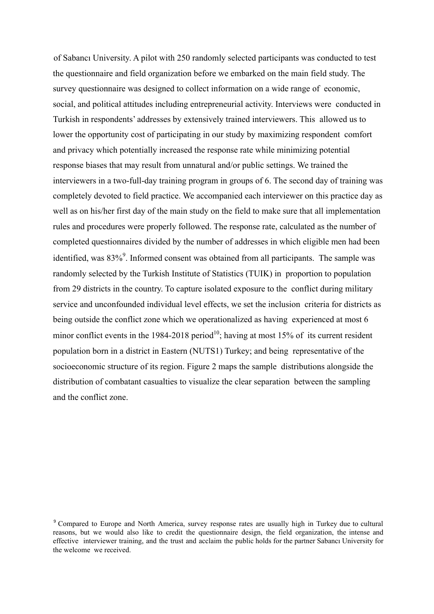of Sabancı University. A pilot with 250 randomly selected participants was conducted to test the questionnaire and field organization before we embarked on the main field study. The survey questionnaire was designed to collect information on a wide range of economic, social, and political attitudes including entrepreneurial activity. Interviews were conducted in Turkish in respondents' addresses by extensively trained interviewers. This allowed us to lower the opportunity cost of participating in our study by maximizing respondent comfort and privacy which potentially increased the response rate while minimizing potential response biases that may result from unnatural and/or public settings. We trained the interviewers in a two-full-day training program in groups of 6. The second day of training was completely devoted to field practice. We accompanied each interviewer on this practice day as well as on his/her first day of the main study on the field to make sure that all implementation rules and procedures were properly followed. The response rate, calculated as the number of completed questionnaires divided by the number of addresses in which eligible men had been identified, was 83%<sup>9</sup>. Informed consent was obtained from all participants. The sample was randomly selected by the Turkish Institute of Statistics (TUIK) in proportion to population from 29 districts in the country. To capture isolated exposure to the conflict during military service and unconfounded individual level effects, we set the inclusion criteria for districts as being outside the conflict zone which we operationalized as having experienced at most 6 minor conflict events in the 1984-2018 period<sup>10</sup>; having at most 15% of its current resident population born in a district in Eastern (NUTS1) Turkey; and being representative of the socioeconomic structure of its region. Figure 2 maps the sample distributions alongside the distribution of combatant casualties to visualize the clear separation between the sampling and the conflict zone.

<sup>&</sup>lt;sup>9</sup> Compared to Europe and North America, survey response rates are usually high in Turkey due to cultural reasons, but we would also like to credit the questionnaire design, the field organization, the intense and effective interviewer training, and the trust and acclaim the public holds for the partner Sabancı University for the welcome we received.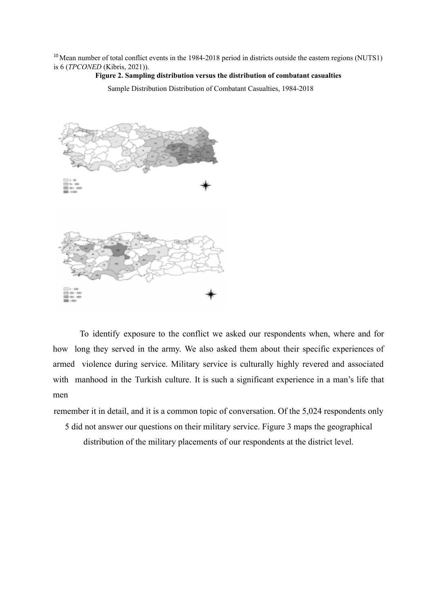<sup>10</sup> Mean number of total conflict events in the 1984-2018 period in districts outside the eastern regions (NUTS1) is 6 (*TPCONED* (Kibris, 2021)).

# **Figure 2. Sampling distribution versus the distribution of combatant casualties**

Sample Distribution Distribution of Combatant Casualties, 1984-2018



To identify exposure to the conflict we asked our respondents when, where and for how long they served in the army. We also asked them about their specific experiences of armed violence during service. Military service is culturally highly revered and associated with manhood in the Turkish culture. It is such a significant experience in a man's life that men

remember it in detail, and it is a common topic of conversation. Of the 5,024 respondents only

5 did not answer our questions on their military service. Figure 3 maps the geographical

distribution of the military placements of our respondents at the district level.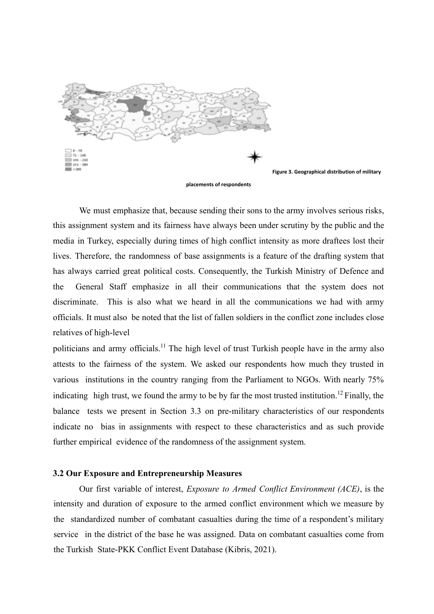

We must emphasize that, because sending their sons to the army involves serious risks, this assignment system and its fairness have always been under scrutiny by the public and the media in Turkey, especially during times of high conflict intensity as more draftees lost their lives. Therefore, the randomness of base assignments is a feature of the drafting system that has always carried great political costs. Consequently, the Turkish Ministry of Defence and the General Staff emphasize in all their communications that the system does not discriminate. This is also what we heard in all the communications we had with army officials. It must also be noted that the list of fallen soldiers in the conflict zone includes close relatives of high-level

politicians and army officials.<sup>11</sup> The high level of trust Turkish people have in the army also attests to the fairness of the system. We asked our respondents how much they trusted in various institutions in the country ranging from the Parliament to NGOs. With nearly 75% indicating high trust, we found the army to be by far the most trusted institution.<sup>12</sup> Finally, the balance tests we present in Section 3.3 on pre-military characteristics of our respondents indicate no bias in assignments with respect to these characteristics and as such provide further empirical evidence of the randomness of the assignment system.

## **3.2 Our Exposure and Entrepreneurship Measures**

Our first variable of interest, *Exposure to Armed Conflict Environment (ACE)*, is the intensity and duration of exposure to the armed conflict environment which we measure by the standardized number of combatant casualties during the time of a respondent's military service in the district of the base he was assigned. Data on combatant casualties come from the Turkish State-PKK Conflict Event Database (Kibris, 2021).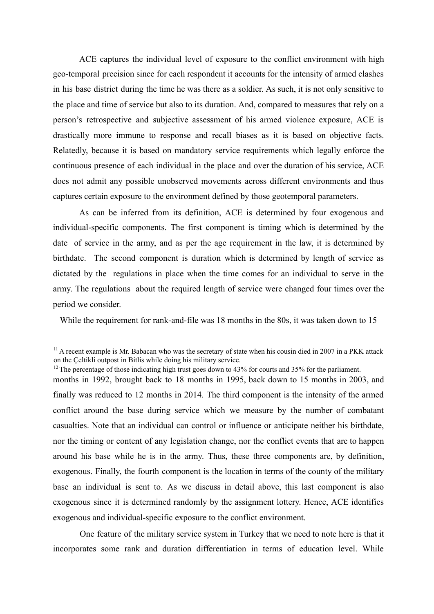ACE captures the individual level of exposure to the conflict environment with high geo-temporal precision since for each respondent it accounts for the intensity of armed clashes in his base district during the time he was there as a soldier. As such, it is not only sensitive to the place and time of service but also to its duration. And, compared to measures that rely on a person's retrospective and subjective assessment of his armed violence exposure, ACE is drastically more immune to response and recall biases as it is based on objective facts. Relatedly, because it is based on mandatory service requirements which legally enforce the continuous presence of each individual in the place and over the duration of his service, ACE does not admit any possible unobserved movements across different environments and thus captures certain exposure to the environment defined by those geotemporal parameters.

As can be inferred from its definition, ACE is determined by four exogenous and individual-specific components. The first component is timing which is determined by the date of service in the army, and as per the age requirement in the law, it is determined by birthdate. The second component is duration which is determined by length of service as dictated by the regulations in place when the time comes for an individual to serve in the army. The regulations about the required length of service were changed four times over the period we consider.

While the requirement for rank-and-file was 18 months in the 80s, it was taken down to 15

months in 1992, brought back to 18 months in 1995, back down to 15 months in 2003, and finally was reduced to 12 months in 2014. The third component is the intensity of the armed conflict around the base during service which we measure by the number of combatant casualties. Note that an individual can control or influence or anticipate neither his birthdate, nor the timing or content of any legislation change, nor the conflict events that are to happen around his base while he is in the army. Thus, these three components are, by definition, exogenous. Finally, the fourth component is the location in terms of the county of the military base an individual is sent to. As we discuss in detail above, this last component is also exogenous since it is determined randomly by the assignment lottery. Hence, ACE identifies exogenous and individual-specific exposure to the conflict environment.

One feature of the military service system in Turkey that we need to note here is that it incorporates some rank and duration differentiation in terms of education level. While

 $11$  A recent example is Mr. Babacan who was the secretary of state when his cousin died in 2007 in a PKK attack on the Çeltikli outpost in Bitlis while doing his military service.

 $12$  The percentage of those indicating high trust goes down to 43% for courts and 35% for the parliament.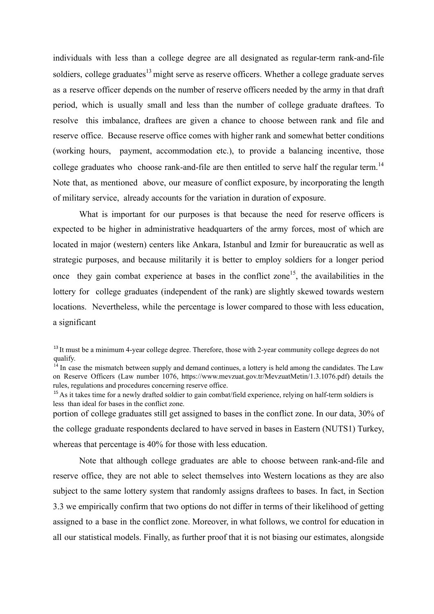individuals with less than a college degree are all designated as regular-term rank-and-file soldiers, college graduates<sup>13</sup> might serve as reserve officers. Whether a college graduate serves as a reserve officer depends on the number of reserve officers needed by the army in that draft period, which is usually small and less than the number of college graduate draftees. To resolve this imbalance, draftees are given a chance to choose between rank and file and reserve office. Because reserve office comes with higher rank and somewhat better conditions (working hours, payment, accommodation etc.), to provide a balancing incentive, those college graduates who choose rank-and-file are then entitled to serve half the regular term.<sup>14</sup> Note that, as mentioned above, our measure of conflict exposure, by incorporating the length of military service, already accounts for the variation in duration of exposure.

What is important for our purposes is that because the need for reserve officers is expected to be higher in administrative headquarters of the army forces, most of which are located in major (western) centers like Ankara, Istanbul and Izmir for bureaucratic as well as strategic purposes, and because militarily it is better to employ soldiers for a longer period once they gain combat experience at bases in the conflict zone<sup>15</sup>, the availabilities in the lottery for college graduates (independent of the rank) are slightly skewed towards western locations. Nevertheless, while the percentage is lower compared to those with less education, a significant

portion of college graduates still get assigned to bases in the conflict zone. In our data, 30% of the college graduate respondents declared to have served in bases in Eastern (NUTS1) Turkey, whereas that percentage is 40% for those with less education.

Note that although college graduates are able to choose between rank-and-file and reserve office, they are not able to select themselves into Western locations as they are also subject to the same lottery system that randomly assigns draftees to bases. In fact, in Section 3.3 we empirically confirm that two options do not differ in terms of their likelihood of getting assigned to a base in the conflict zone. Moreover, in what follows, we control for education in all our statistical models. Finally, as further proof that it is not biasing our estimates, alongside

<sup>&</sup>lt;sup>13</sup> It must be a minimum 4-year college degree. Therefore, those with 2-year community college degrees do not qualify.

<sup>&</sup>lt;sup>14</sup> In case the mismatch between supply and demand continues, a lottery is held among the candidates. The Law on Reserve Officers (Law number 1076, https://www.mevzuat.gov.tr/MevzuatMetin/1.3.1076.pdf) details the rules, regulations and procedures concerning reserve office.

<sup>&</sup>lt;sup>15</sup> As it takes time for a newly drafted soldier to gain combat/field experience, relying on half-term soldiers is less than ideal for bases in the conflict zone.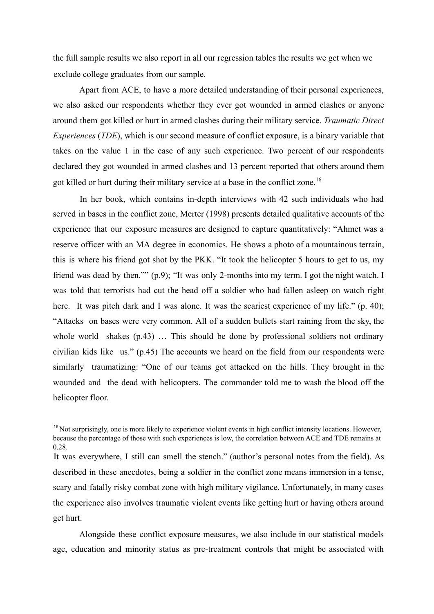the full sample results we also report in all our regression tables the results we get when we exclude college graduates from our sample.

Apart from ACE, to have a more detailed understanding of their personal experiences, we also asked our respondents whether they ever got wounded in armed clashes or anyone around them got killed or hurt in armed clashes during their military service. *Traumatic Direct Experiences* (*TDE*), which is our second measure of conflict exposure, is a binary variable that takes on the value 1 in the case of any such experience. Two percent of our respondents declared they got wounded in armed clashes and 13 percent reported that others around them got killed or hurt during their military service at a base in the conflict zone.<sup>16</sup>

In her book, which contains in-depth interviews with 42 such individuals who had served in bases in the conflict zone, Merter (1998) presents detailed qualitative accounts of the experience that our exposure measures are designed to capture quantitatively: "Ahmet was a reserve officer with an MA degree in economics. He shows a photo of a mountainous terrain, this is where his friend got shot by the PKK. "It took the helicopter 5 hours to get to us, my friend was dead by then."" (p.9); "It was only 2-months into my term. I got the night watch. I was told that terrorists had cut the head off a soldier who had fallen asleep on watch right here. It was pitch dark and I was alone. It was the scariest experience of my life." (p. 40); "Attacks on bases were very common. All of a sudden bullets start raining from the sky, the whole world shakes  $(p.43)$  ... This should be done by professional soldiers not ordinary civilian kids like us." (p.45) The accounts we heard on the field from our respondents were similarly traumatizing: "One of our teams got attacked on the hills. They brought in the wounded and the dead with helicopters. The commander told me to wash the blood off the helicopter floor.

<sup>16</sup> Not surprisingly, one is more likely to experience violent events in high conflict intensity locations. However, because the percentage of those with such experiences is low, the correlation between ACE and TDE remains at 0.28.

It was everywhere, I still can smell the stench." (author's personal notes from the field). As described in these anecdotes, being a soldier in the conflict zone means immersion in a tense, scary and fatally risky combat zone with high military vigilance. Unfortunately, in many cases the experience also involves traumatic violent events like getting hurt or having others around get hurt.

Alongside these conflict exposure measures, we also include in our statistical models age, education and minority status as pre-treatment controls that might be associated with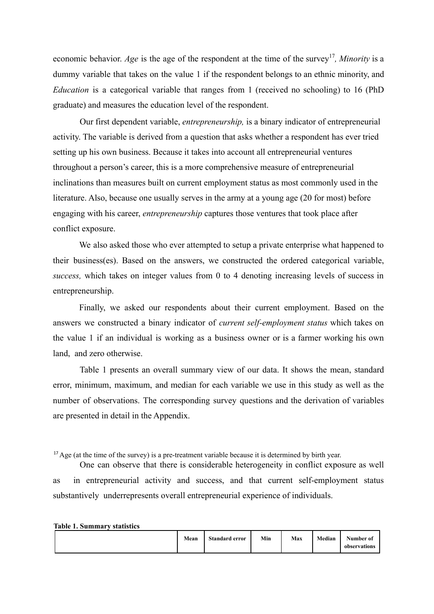economic behavior. Age is the age of the respondent at the time of the survey<sup>17</sup>, Minority is a dummy variable that takes on the value 1 if the respondent belongs to an ethnic minority, and *Education* is a categorical variable that ranges from 1 (received no schooling) to 16 (PhD graduate) and measures the education level of the respondent.

Our first dependent variable, *entrepreneurship,* is a binary indicator of entrepreneurial activity. The variable is derived from a question that asks whether a respondent has ever tried setting up his own business. Because it takes into account all entrepreneurial ventures throughout a person's career, this is a more comprehensive measure of entrepreneurial inclinations than measures built on current employment status as most commonly used in the literature. Also, because one usually serves in the army at a young age (20 for most) before engaging with his career, *entrepreneurship* captures those ventures that took place after conflict exposure.

We also asked those who ever attempted to setup a private enterprise what happened to their business(es). Based on the answers, we constructed the ordered categorical variable, *success,* which takes on integer values from 0 to 4 denoting increasing levels of success in entrepreneurship.

Finally, we asked our respondents about their current employment. Based on the answers we constructed a binary indicator of *current self-employment status* which takes on the value 1 if an individual is working as a business owner or is a farmer working his own land, and zero otherwise.

Table 1 presents an overall summary view of our data. It shows the mean, standard error, minimum, maximum, and median for each variable we use in this study as well as the number of observations. The corresponding survey questions and the derivation of variables are presented in detail in the Appendix.

<sup>17</sup> Age (at the time of the survey) is a pre-treatment variable because it is determined by birth year.

One can observe that there is considerable heterogeneity in conflict exposure as well as in entrepreneurial activity and success, and that current self-employment status substantively underrepresents overall entrepreneurial experience of individuals.

**Table 1. Summary statistics**

|  | Mean | <b>Standard error</b> | Min | Max | Median | Number of<br>observations |
|--|------|-----------------------|-----|-----|--------|---------------------------|
|--|------|-----------------------|-----|-----|--------|---------------------------|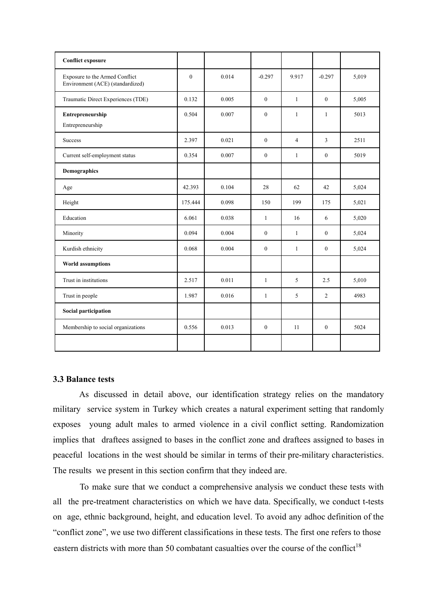| <b>Conflict exposure</b>                                           |              |       |              |                |                |       |
|--------------------------------------------------------------------|--------------|-------|--------------|----------------|----------------|-------|
| Exposure to the Armed Conflict<br>Environment (ACE) (standardized) | $\mathbf{0}$ | 0.014 | $-0.297$     | 9.917          | $-0.297$       | 5,019 |
| Traumatic Direct Experiences (TDE)                                 | 0.132        | 0.005 | $\mathbf{0}$ | $\mathbf{1}$   | $\mathbf{0}$   | 5,005 |
| Entrepreneurship<br>Entrepreneurship                               | 0.504        | 0.007 | $\theta$     | $\mathbf{1}$   | $\mathbf{1}$   | 5013  |
| <b>Success</b>                                                     | 2.397        | 0.021 | $\mathbf{0}$ | $\overline{4}$ | $\overline{3}$ | 2511  |
| Current self-employment status                                     | 0.354        | 0.007 | $\mathbf{0}$ | $\mathbf{1}$   | $\mathbf{0}$   | 5019  |
| Demographics                                                       |              |       |              |                |                |       |
| Age                                                                | 42.393       | 0.104 | 28           | 62             | 42             | 5,024 |
| Height                                                             | 175.444      | 0.098 | 150          | 199            | 175            | 5,021 |
| Education                                                          | 6.061        | 0.038 | $\mathbf{1}$ | 16             | 6              | 5,020 |
| Minority                                                           | 0.094        | 0.004 | $\mathbf{0}$ | $\mathbf{1}$   | $\theta$       | 5,024 |
| Kurdish ethnicity                                                  | 0.068        | 0.004 | $\theta$     | $\mathbf{1}$   | $\theta$       | 5,024 |
| <b>World assumptions</b>                                           |              |       |              |                |                |       |
| Trust in institutions                                              | 2.517        | 0.011 | $\mathbf{1}$ | 5              | 2.5            | 5,010 |
| Trust in people                                                    | 1.987        | 0.016 | $\mathbf{1}$ | 5              | 2              | 4983  |
| Social participation                                               |              |       |              |                |                |       |
| Membership to social organizations                                 | 0.556        | 0.013 | $\mathbf{0}$ | 11             | $\mathbf{0}$   | 5024  |
|                                                                    |              |       |              |                |                |       |

# **3.3 Balance tests**

As discussed in detail above, our identification strategy relies on the mandatory military service system in Turkey which creates a natural experiment setting that randomly exposes young adult males to armed violence in a civil conflict setting. Randomization implies that draftees assigned to bases in the conflict zone and draftees assigned to bases in peaceful locations in the west should be similar in terms of their pre-military characteristics. The results we present in this section confirm that they indeed are.

To make sure that we conduct a comprehensive analysis we conduct these tests with all the pre-treatment characteristics on which we have data. Specifically, we conduct t-tests on age, ethnic background, height, and education level. To avoid any adhoc definition of the "conflict zone", we use two different classifications in these tests. The first one refers to those eastern districts with more than 50 combatant casualties over the course of the conflict<sup>18</sup>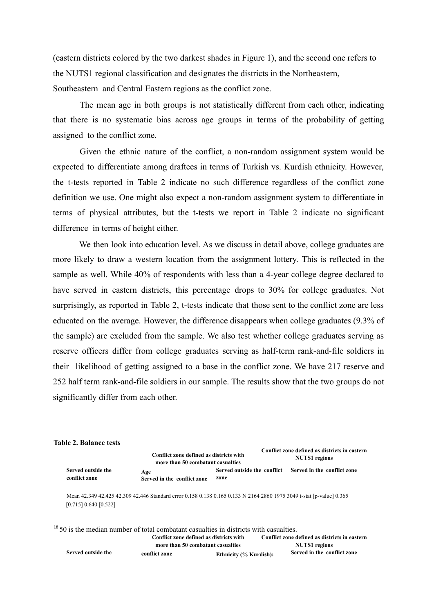(eastern districts colored by the two darkest shades in Figure 1), and the second one refers to the NUTS1 regional classification and designates the districts in the Northeastern, Southeastern and Central Eastern regions as the conflict zone.

The mean age in both groups is not statistically different from each other, indicating that there is no systematic bias across age groups in terms of the probability of getting assigned to the conflict zone.

Given the ethnic nature of the conflict, a non-random assignment system would be expected to differentiate among draftees in terms of Turkish vs. Kurdish ethnicity. However, the t-tests reported in Table 2 indicate no such difference regardless of the conflict zone definition we use. One might also expect a non-random assignment system to differentiate in terms of physical attributes, but the t-tests we report in Table 2 indicate no significant difference in terms of height either.

We then look into education level. As we discuss in detail above, college graduates are more likely to draw a western location from the assignment lottery. This is reflected in the sample as well. While 40% of respondents with less than a 4-year college degree declared to have served in eastern districts, this percentage drops to 30% for college graduates. Not surprisingly, as reported in Table 2, t-tests indicate that those sent to the conflict zone are less educated on the average. However, the difference disappears when college graduates (9.3% of the sample) are excluded from the sample. We also test whether college graduates serving as reserve officers differ from college graduates serving as half-term rank-and-file soldiers in their likelihood of getting assigned to a base in the conflict zone. We have 217 reserve and 252 half term rank-and-file soldiers in our sample. The results show that the two groups do not significantly differ from each other.

### **Table 2. Balance tests**

|                                     | Conflict zone defined as districts with<br>more than 50 combatant casualties                                         |      | Conflict zone defined as districts in eastern<br><b>NUTS1</b> regions |
|-------------------------------------|----------------------------------------------------------------------------------------------------------------------|------|-----------------------------------------------------------------------|
| Served outside the<br>conflict zone | Age<br>Served in the conflict zone                                                                                   | zone | Served outside the conflict Served in the conflict zone               |
| [0.715] 0.640 [0.522]               | Mean 42.349 42.425 42.309 42.446 Standard error 0.158 0.138 0.165 0.133 N 2164 2860 1975 3049 t-stat [p-value] 0.365 |      |                                                                       |

 $18\,50$  is the median number of total combatant casualties in districts with casualties. **Conflict zone defined as districts with more than 50 combatant casualties Conflict zone defined as districts in eastern NUTS1 regions Served outside the conflict zone Ethnicity (% Kurdish): Served in the conflict zone**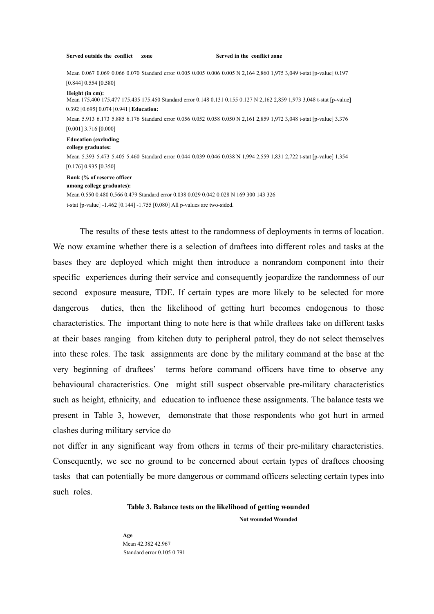**Served outside the conflict zone Served in the conflict zone**

Mean 0.067 0.069 0.066 0.070 Standard error 0.005 0.005 0.006 0.005 N 2,164 2,860 1,975 3,049 t-stat [p-value] 0.197 [0.844] 0.554 [0.580]

**Height (in cm):**

Mean 175.400 175.477 175.435 175.450 Standard error 0.148 0.131 0.155 0.127 N 2,162 2,859 1,973 3,048 t-stat [p-value] 0.392 [0.695] 0.074 [0.941] **Education:**

Mean 5.913 6.173 5.885 6.176 Standard error 0.056 0.052 0.058 0.050 N 2,161 2,859 1,972 3,048 t-stat [p-value] 3.376 [0.001] 3.716 [0.000]

#### **Education (excluding**

#### **college graduates:**

Mean 5.393 5.473 5.405 5.460 Standard error 0.044 0.039 0.046 0.038 N 1,994 2,559 1,831 2,722 t-stat [p-value] 1.354 [0.176] 0.935 [0.350]

#### **Rank (% of reserve officer**

**among college graduates):**

Mean 0.550 0.480 0.566 0.479 Standard error 0.038 0.029 0.042 0.028 N 169 300 143 326 t-stat [p-value] -1.462 [0.144] -1.755 [0.080] All p-values are two-sided.

The results of these tests attest to the randomness of deployments in terms of location. We now examine whether there is a selection of draftees into different roles and tasks at the bases they are deployed which might then introduce a nonrandom component into their specific experiences during their service and consequently jeopardize the randomness of our second exposure measure, TDE. If certain types are more likely to be selected for more dangerous duties, then the likelihood of getting hurt becomes endogenous to those characteristics. The important thing to note here is that while draftees take on different tasks at their bases ranging from kitchen duty to peripheral patrol, they do not select themselves into these roles. The task assignments are done by the military command at the base at the very beginning of draftees' terms before command officers have time to observe any behavioural characteristics. One might still suspect observable pre-military characteristics such as height, ethnicity, and education to influence these assignments. The balance tests we present in Table 3, however, demonstrate that those respondents who got hurt in armed clashes during military service do

not differ in any significant way from others in terms of their pre-military characteristics. Consequently, we see no ground to be concerned about certain types of draftees choosing tasks that can potentially be more dangerous or command officers selecting certain types into such roles.

## **Table 3. Balance tests on the likelihood of getting wounded**

**Not wounded Wounded**

**Age** Mean 42.382 42.967 Standard error 0.105 0.791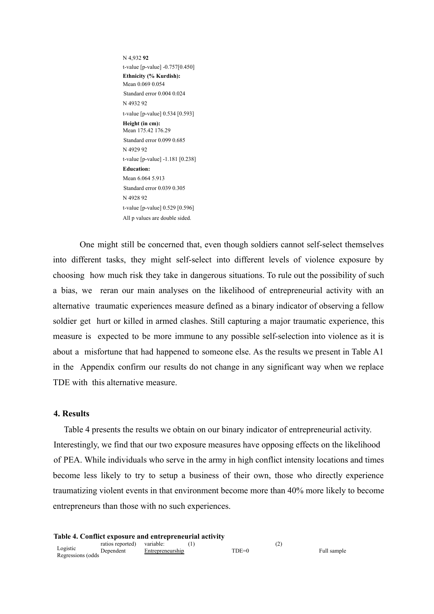N 4,932 **92** t-value [p-value] -0.757[0.450] **Ethnicity (% Kurdish):** Mean 0.069 0.054 Standard error 0.004 0.024 N 4932 92 t-value [p-value] 0.534 [0.593] **Height (in cm):** Mean 175.42 176.29 Standard error 0.099 0.685 N 4929 92 t-value [p-value] -1.181 [0.238] **Education:** Mean 6.064 5.913 Standard error 0.039 0.305 N 4928 92 t-value [p-value] 0.529 [0.596] All p values are double sided.

One might still be concerned that, even though soldiers cannot self-select themselves into different tasks, they might self-select into different levels of violence exposure by choosing how much risk they take in dangerous situations. To rule out the possibility of such a bias, we reran our main analyses on the likelihood of entrepreneurial activity with an alternative traumatic experiences measure defined as a binary indicator of observing a fellow soldier get hurt or killed in armed clashes. Still capturing a major traumatic experience, this measure is expected to be more immune to any possible self-selection into violence as it is about a misfortune that had happened to someone else. As the results we present in Table A1 in the Appendix confirm our results do not change in any significant way when we replace TDE with this alternative measure.

## **4. Results**

Table 4 presents the results we obtain on our binary indicator of entrepreneurial activity. Interestingly, we find that our two exposure measures have opposing effects on the likelihood of PEA. While individuals who serve in the army in high conflict intensity locations and times become less likely to try to setup a business of their own, those who directly experience traumatizing violent events in that environment become more than 40% more likely to become entrepreneurs than those with no such experiences.

Full sample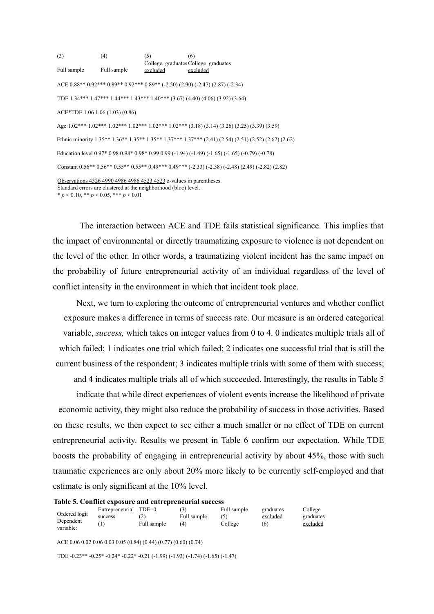(3) Full sample (4) Full sample  $(5)$ College graduates College graduates excluded  $(6)$ excluded ACE 0.88\*\* 0.92\*\*\* 0.89\*\* 0.92\*\*\* 0.89\*\* (-2.50) (2.90) (-2.47) (2.87) (-2.34) TDE 1.34\*\*\* 1.47\*\*\* 1.44\*\*\* 1.43\*\*\* 1.40\*\*\* (3.67) (4.40) (4.06) (3.92) (3.64) ACE\*TDE 1.06 1.06 (1.03) (0.86) Age 1.02\*\*\* 1.02\*\*\* 1.02\*\*\* 1.02\*\*\* 1.02\*\*\* 1.02\*\*\* (3.18) (3.14) (3.26) (3.25) (3.39) (3.59) Ethnic minority 1.35\*\* 1.36\*\* 1.35\*\* 1.35\*\* 1.37\*\*\* 1.37\*\*\* (2.41) (2.54) (2.51) (2.52) (2.62) (2.62) Education level 0.97\* 0.98 0.98\* 0.98\* 0.99 0.99 (-1.94) (-1.49) (-1.65) (-1.65) (-0.79) (-0.78) Constant 0.56\*\* 0.56\*\* 0.55\*\* 0.55\*\* 0.49\*\*\* 0.49\*\*\* (-2.33) (-2.38) (-2.48) (2.49) (-2.82) (2.82) Observations 4326 4990 4986 4986 4523 4523 z-values in parentheses. Standard errors are clustered at the neighborhood (bloc) level.  $* p < 0.10, ** p < 0.05, *** p < 0.01$ 

The interaction between ACE and TDE fails statistical significance. This implies that the impact of environmental or directly traumatizing exposure to violence is not dependent on the level of the other. In other words, a traumatizing violent incident has the same impact on the probability of future entrepreneurial activity of an individual regardless of the level of conflict intensity in the environment in which that incident took place.

Next, we turn to exploring the outcome of entrepreneurial ventures and whether conflict exposure makes a difference in terms of success rate. Our measure is an ordered categorical variable, *success,* which takes on integer values from 0 to 4. 0 indicates multiple trials all of which failed; 1 indicates one trial which failed; 2 indicates one successful trial that is still the current business of the respondent; 3 indicates multiple trials with some of them with success;

and 4 indicates multiple trials all of which succeeded. Interestingly, the results in Table 5 indicate that while direct experiences of violent events increase the likelihood of private economic activity, they might also reduce the probability of success in those activities. Based on these results, we then expect to see either a much smaller or no effect of TDE on current entrepreneurial activity. Results we present in Table 6 confirm our expectation. While TDE boosts the probability of engaging in entrepreneurial activity by about 45%, those with such traumatic experiences are only about 20% more likely to be currently self-employed and that estimate is only significant at the 10% level.

|  |  |  |  |  |  |  | Table 5. Conflict exposure and entrepreneurial success |  |  |
|--|--|--|--|--|--|--|--------------------------------------------------------|--|--|
|--|--|--|--|--|--|--|--------------------------------------------------------|--|--|

| Ordered logit<br>Dependent | Entrepreneurial TDE=0<br>success | (2)<br>Full sample | Full sample<br>(4) | Full sample<br>College | graduates<br>excluded<br>(6) | College<br>graduates<br>excluded |
|----------------------------|----------------------------------|--------------------|--------------------|------------------------|------------------------------|----------------------------------|
| variable:                  |                                  |                    |                    |                        |                              |                                  |

ACE 0.06 0.02 0.06 0.03 0.05 (0.84) (0.44) (0.77) (0.60) (0.74)

TDE -0.23\*\* -0.25\* -0.24\* -0.22\* -0.21 (-1.99) (-1.93) (-1.74) (-1.65) (-1.47)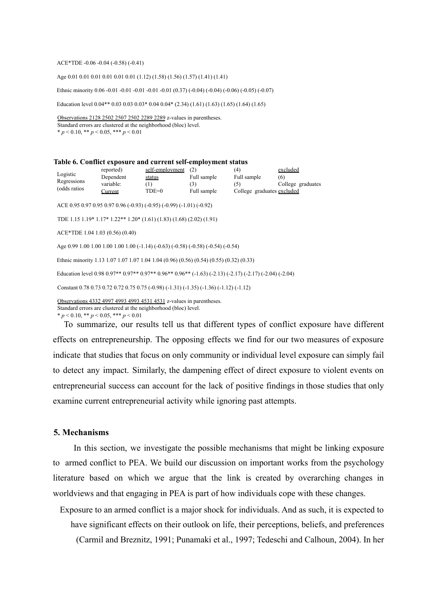#### ACE\*TDE -0.06 -0.04 (-0.58) (-0.41)

Age 0.01 0.01 0.01 0.01 0.01 0.01 (1.12) (1.58) (1.56) (1.57) (1.41) (1.41)

Ethnic minority 0.06 -0.01 -0.01 -0.01 -0.01 -0.01 (0.37) (-0.04) (-0.04) (-0.06) (-0.05) (-0.07)

Education level 0.04\*\* 0.03 0.03 0.03\* 0.04 0.04\* (2.34) (1.61) (1.63) (1.65) (1.64) (1.65)

Observations 2128 2502 2507 2502 2289 2289 z-values in parentheses. Standard errors are clustered at the neighborhood (bloc) level.  $* p < 0.10, ** p < 0.05, ** p < 0.01$ 

| Table 6. Conflict exposure and current self-employment status                                           |                                                                                                                                        |                 |             |                            |                   |  |  |
|---------------------------------------------------------------------------------------------------------|----------------------------------------------------------------------------------------------------------------------------------------|-----------------|-------------|----------------------------|-------------------|--|--|
| Logistic                                                                                                | reported)                                                                                                                              | self-employment | (2)         | (4)                        | excluded          |  |  |
| Regressions                                                                                             | Dependent                                                                                                                              | status          | Full sample | Full sample                | (6)               |  |  |
| (odds ratios)                                                                                           | variable:                                                                                                                              | (1)             | (3)         | (5)                        | College graduates |  |  |
|                                                                                                         | Current                                                                                                                                | $TDE=0$         | Full sample | College graduates excluded |                   |  |  |
|                                                                                                         | ACE 0.95 0.97 0.95 0.97 0.96 (-0.93) (-0.95) (-0.99) (-1.01) (-0.92)                                                                   |                 |             |                            |                   |  |  |
|                                                                                                         | TDE 1.15 1.19* 1.17* 1.22** 1.20* $(1.61)$ $(1.83)$ $(1.68)$ $(2.02)$ $(1.91)$                                                         |                 |             |                            |                   |  |  |
|                                                                                                         |                                                                                                                                        |                 |             |                            |                   |  |  |
| ACE*TDE 1.04 1.03 (0.56) (0.40)                                                                         |                                                                                                                                        |                 |             |                            |                   |  |  |
|                                                                                                         | Age 0.99 1.00 1.00 1.00 1.00 1.00 (-1.14) (-0.63) (-0.58) (-0.58) (-0.54) (-0.54)                                                      |                 |             |                            |                   |  |  |
|                                                                                                         | Ethnic minority 1.13 1.07 1.07 1.07 1.04 1.04 (0.96) (0.56) (0.54) (0.55) (0.32) (0.33)                                                |                 |             |                            |                   |  |  |
| Education level 0.98 0.97** 0.97** 0.97** 0.96** 0.96** (-1.63) (-2.13) (-2.17) (-2.17) (-2.04) (-2.04) |                                                                                                                                        |                 |             |                            |                   |  |  |
| Constant 0.78 0.73 0.72 0.75 0.75 (-0.98) $(-1.31)$ $(-1.35)$ $(-1.36)$ $(-1.12)$ $(-1.12)$             |                                                                                                                                        |                 |             |                            |                   |  |  |
|                                                                                                         | Observations 4332 4997 4993 4993 4531 4531 z-values in parentheses.<br>Standard errors are clustered at the neighborhood (bloc) level. |                 |             |                            |                   |  |  |

\* *p* < 0.10, \*\* *p* < 0.05, \*\*\* *p* < 0.01

To summarize, our results tell us that different types of conflict exposure have different effects on entrepreneurship. The opposing effects we find for our two measures of exposure indicate that studies that focus on only community or individual level exposure can simply fail to detect any impact. Similarly, the dampening effect of direct exposure to violent events on entrepreneurial success can account for the lack of positive findings in those studies that only examine current entrepreneurial activity while ignoring past attempts.

### **5. Mechanisms**

In this section, we investigate the possible mechanisms that might be linking exposure to armed conflict to PEA. We build our discussion on important works from the psychology literature based on which we argue that the link is created by overarching changes in worldviews and that engaging in PEA is part of how individuals cope with these changes.

Exposure to an armed conflict is a major shock for individuals. And as such, it is expected to have significant effects on their outlook on life, their perceptions, beliefs, and preferences (Carmil and Breznitz, 1991; Punamaki et al., 1997; Tedeschi and Calhoun, 2004). In her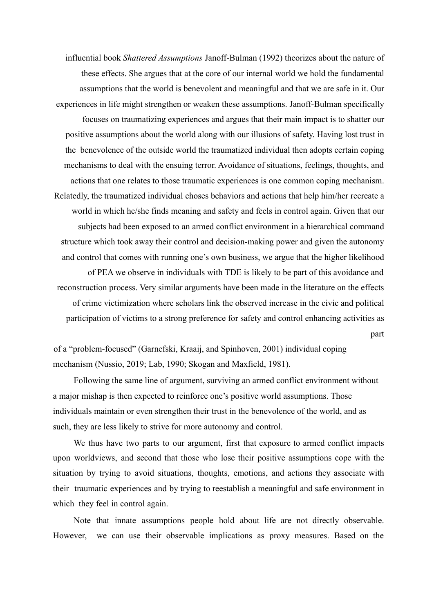influential book *Shattered Assumptions* Janoff-Bulman (1992) theorizes about the nature of these effects. She argues that at the core of our internal world we hold the fundamental assumptions that the world is benevolent and meaningful and that we are safe in it. Our experiences in life might strengthen or weaken these assumptions. Janoff-Bulman specifically focuses on traumatizing experiences and argues that their main impact is to shatter our positive assumptions about the world along with our illusions of safety. Having lost trust in the benevolence of the outside world the traumatized individual then adopts certain coping mechanisms to deal with the ensuing terror. Avoidance of situations, feelings, thoughts, and actions that one relates to those traumatic experiences is one common coping mechanism. Relatedly, the traumatized individual choses behaviors and actions that help him/her recreate a world in which he/she finds meaning and safety and feels in control again. Given that our subjects had been exposed to an armed conflict environment in a hierarchical command structure which took away their control and decision-making power and given the autonomy and control that comes with running one's own business, we argue that the higher likelihood of PEA we observe in individuals with TDE is likely to be part of this avoidance and reconstruction process. Very similar arguments have been made in the literature on the effects of crime victimization where scholars link the observed increase in the civic and political participation of victims to a strong preference for safety and control enhancing activities as part

of a "problem-focused" (Garnefski, Kraaij, and Spinhoven, 2001) individual coping mechanism (Nussio, 2019; Lab, 1990; Skogan and Maxfield, 1981).

Following the same line of argument, surviving an armed conflict environment without a major mishap is then expected to reinforce one's positive world assumptions. Those individuals maintain or even strengthen their trust in the benevolence of the world, and as such, they are less likely to strive for more autonomy and control.

We thus have two parts to our argument, first that exposure to armed conflict impacts upon worldviews, and second that those who lose their positive assumptions cope with the situation by trying to avoid situations, thoughts, emotions, and actions they associate with their traumatic experiences and by trying to reestablish a meaningful and safe environment in which they feel in control again.

Note that innate assumptions people hold about life are not directly observable. However, we can use their observable implications as proxy measures. Based on the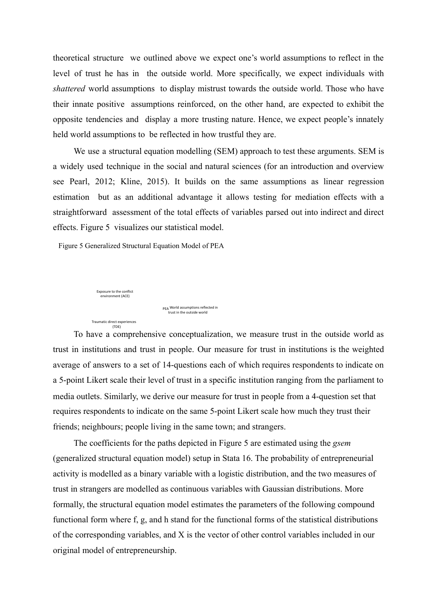theoretical structure we outlined above we expect one's world assumptions to reflect in the level of trust he has in the outside world. More specifically, we expect individuals with *shattered* world assumptions to display mistrust towards the outside world. Those who have their innate positive assumptions reinforced, on the other hand, are expected to exhibit the opposite tendencies and display a more trusting nature. Hence, we expect people's innately held world assumptions to be reflected in how trustful they are.

We use a structural equation modelling (SEM) approach to test these arguments. SEM is a widely used technique in the social and natural sciences (for an introduction and overview see Pearl, 2012; Kline, 2015). It builds on the same assumptions as linear regression estimation but as an additional advantage it allows testing for mediation effects with a straightforward assessment of the total effects of variables parsed out into indirect and direct effects. Figure 5 visualizes our statistical model.

Figure 5 Generalized Structural Equation Model of PEA



To have a comprehensive conceptualization, we measure trust in the outside world as trust in institutions and trust in people. Our measure for trust in institutions is the weighted average of answers to a set of 14-questions each of which requires respondents to indicate on a 5-point Likert scale their level of trust in a specific institution ranging from the parliament to media outlets. Similarly, we derive our measure for trust in people from a 4-question set that requires respondents to indicate on the same 5-point Likert scale how much they trust their friends; neighbours; people living in the same town; and strangers.

The coefficients for the paths depicted in Figure 5 are estimated using the *gsem* (generalized structural equation model) setup in Stata 16. The probability of entrepreneurial activity is modelled as a binary variable with a logistic distribution, and the two measures of trust in strangers are modelled as continuous variables with Gaussian distributions. More formally, the structural equation model estimates the parameters of the following compound functional form where f, g, and h stand for the functional forms of the statistical distributions of the corresponding variables, and X is the vector of other control variables included in our original model of entrepreneurship.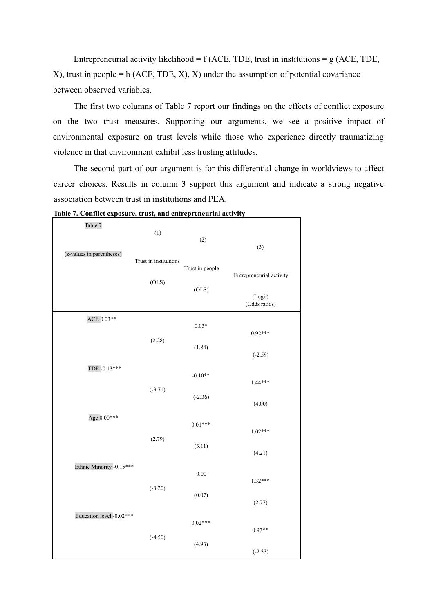Entrepreneurial activity likelihood =  $f$  (ACE, TDE, trust in institutions =  $g$  (ACE, TDE, X), trust in people = h (ACE, TDE, X), X) under the assumption of potential covariance between observed variables.

The first two columns of Table 7 report our findings on the effects of conflict exposure on the two trust measures. Supporting our arguments, we see a positive impact of environmental exposure on trust levels while those who experience directly traumatizing violence in that environment exhibit less trusting attitudes.

The second part of our argument is for this differential change in worldviews to affect career choices. Results in column 3 support this argument and indicate a strong negative association between trust in institutions and PEA.

| Table 7                   | (1)                   | (2)             |                          |
|---------------------------|-----------------------|-----------------|--------------------------|
| (z-values in parentheses) | Trust in institutions |                 | (3)                      |
|                           | (OLS)                 | Trust in people | Entrepreneurial activity |
|                           |                       | (OLS)           | (Logit)<br>(Odds ratios) |
| ACE 0.03**                |                       | $0.03*$         | $0.92***$                |
| TDE -0.13***              | (2.28)                | (1.84)          | $(-2.59)$                |
|                           |                       | $-0.10**$       | 1.44***                  |
|                           | $(-3.71)$             | $(-2.36)$       | (4.00)                   |
| Age $0.00***$             |                       | $0.01***$       | $1.02***$                |
|                           | (2.79)                | (3.11)          | (4.21)                   |
| Ethnic Minority -0.15***  |                       | $0.00\,$        | $1.32***$                |
|                           | $(-3.20)$             | (0.07)          | (2.77)                   |
| Education level -0.02***  |                       | $0.02***$       | $0.97**$                 |
|                           | $(-4.50)$             | (4.93)          | $(-2.33)$                |

**Table 7. Conflict exposure, trust, and entrepreneurial activity**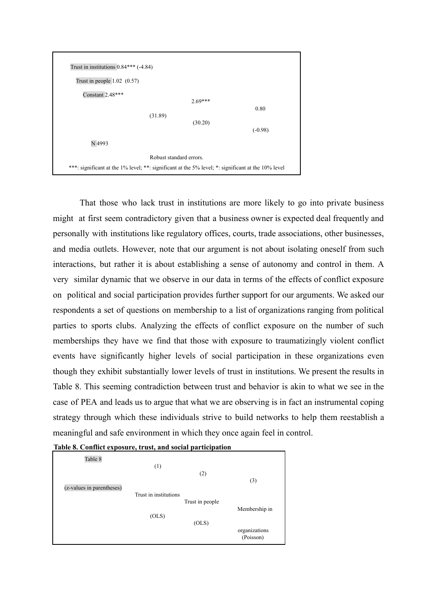

That those who lack trust in institutions are more likely to go into private business might at first seem contradictory given that a business owner is expected deal frequently and personally with institutions like regulatory offices, courts, trade associations, other businesses, and media outlets. However, note that our argument is not about isolating oneself from such interactions, but rather it is about establishing a sense of autonomy and control in them. A very similar dynamic that we observe in our data in terms of the effects of conflict exposure on political and social participation provides further support for our arguments. We asked our respondents a set of questions on membership to a list of organizations ranging from political parties to sports clubs. Analyzing the effects of conflict exposure on the number of such memberships they have we find that those with exposure to traumatizingly violent conflict events have significantly higher levels of social participation in these organizations even though they exhibit substantially lower levels of trust in institutions. We present the results in Table 8. This seeming contradiction between trust and behavior is akin to what we see in the case of PEA and leads us to argue that what we are observing is in fact an instrumental coping strategy through which these individuals strive to build networks to help them reestablish a meaningful and safe environment in which they once again feel in control.



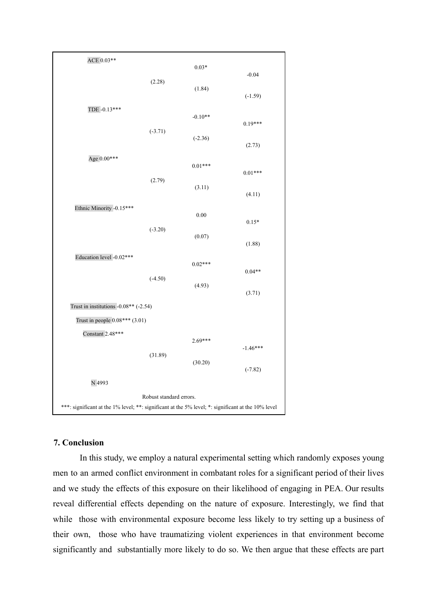| ACE 0.03**                                                                                         |           |           |            |  |  |
|----------------------------------------------------------------------------------------------------|-----------|-----------|------------|--|--|
|                                                                                                    |           | $0.03*$   |            |  |  |
|                                                                                                    | (2.28)    |           | $-0.04$    |  |  |
|                                                                                                    |           | (1.84)    | $(-1.59)$  |  |  |
| TDE -0.13***                                                                                       |           | $-0.10**$ | $0.19***$  |  |  |
|                                                                                                    | $(-3.71)$ | $(-2.36)$ | (2.73)     |  |  |
| Age $0.00***$                                                                                      |           |           |            |  |  |
|                                                                                                    |           | $0.01***$ | $0.01***$  |  |  |
|                                                                                                    | (2.79)    | (3.11)    | (4.11)     |  |  |
|                                                                                                    |           |           |            |  |  |
| Ethnic Minority -0.15***                                                                           |           | 0.00      |            |  |  |
|                                                                                                    | $(-3.20)$ |           | $0.15*$    |  |  |
|                                                                                                    |           | (0.07)    | (1.88)     |  |  |
| Education level -0.02***                                                                           | $(-4.50)$ |           |            |  |  |
|                                                                                                    |           | $0.02***$ | $0.04**$   |  |  |
|                                                                                                    |           | (4.93)    | (3.71)     |  |  |
| Trust in institutions $-0.08**$ (-2.54)                                                            |           |           |            |  |  |
| Trust in people 0.08*** (3.01)                                                                     |           |           |            |  |  |
| Constant 2.48***                                                                                   |           |           |            |  |  |
|                                                                                                    |           | 2.69***   | $-1.46***$ |  |  |
|                                                                                                    | (31.89)   |           |            |  |  |
|                                                                                                    |           | (30.20)   | $(-7.82)$  |  |  |
| N 4993                                                                                             |           |           |            |  |  |
| Robust standard errors.                                                                            |           |           |            |  |  |
| ***: significant at the 1% level; **: significant at the 5% level; *: significant at the 10% level |           |           |            |  |  |

# **7. Conclusion**

In this study, we employ a natural experimental setting which randomly exposes young men to an armed conflict environment in combatant roles for a significant period of their lives and we study the effects of this exposure on their likelihood of engaging in PEA. Our results reveal differential effects depending on the nature of exposure. Interestingly, we find that while those with environmental exposure become less likely to try setting up a business of their own, those who have traumatizing violent experiences in that environment become significantly and substantially more likely to do so. We then argue that these effects are part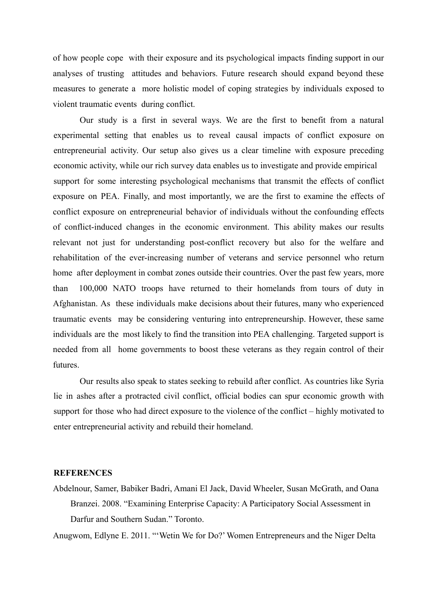of how people cope with their exposure and its psychological impacts finding support in our analyses of trusting attitudes and behaviors. Future research should expand beyond these measures to generate a more holistic model of coping strategies by individuals exposed to violent traumatic events during conflict.

Our study is a first in several ways. We are the first to benefit from a natural experimental setting that enables us to reveal causal impacts of conflict exposure on entrepreneurial activity. Our setup also gives us a clear timeline with exposure preceding economic activity, while our rich survey data enables us to investigate and provide empirical support for some interesting psychological mechanisms that transmit the effects of conflict exposure on PEA. Finally, and most importantly, we are the first to examine the effects of conflict exposure on entrepreneurial behavior of individuals without the confounding effects of conflict-induced changes in the economic environment. This ability makes our results relevant not just for understanding post-conflict recovery but also for the welfare and rehabilitation of the ever-increasing number of veterans and service personnel who return home after deployment in combat zones outside their countries. Over the past few years, more than 100,000 NATO troops have returned to their homelands from tours of duty in Afghanistan. As these individuals make decisions about their futures, many who experienced traumatic events may be considering venturing into entrepreneurship. However, these same individuals are the most likely to find the transition into PEA challenging. Targeted support is needed from all home governments to boost these veterans as they regain control of their futures.

Our results also speak to states seeking to rebuild after conflict. As countries like Syria lie in ashes after a protracted civil conflict, official bodies can spur economic growth with support for those who had direct exposure to the violence of the conflict – highly motivated to enter entrepreneurial activity and rebuild their homeland.

## **REFERENCES**

Abdelnour, Samer, Babiker Badri, Amani El Jack, David Wheeler, Susan McGrath, and Oana Branzei. 2008. "Examining Enterprise Capacity: A Participatory Social Assessment in Darfur and Southern Sudan." Toronto.

Anugwom, Edlyne E. 2011. "'Wetin We for Do?' Women Entrepreneurs and the Niger Delta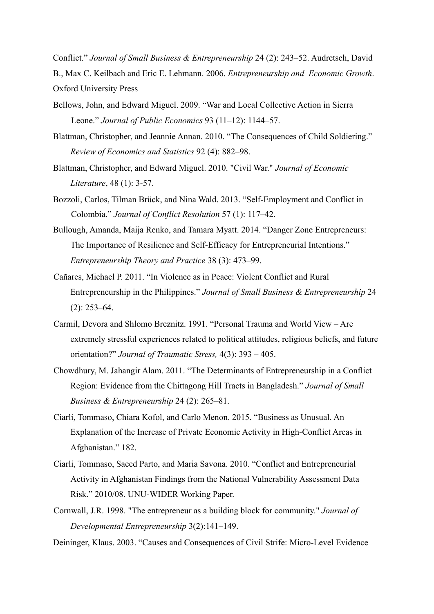Conflict." *Journal of Small Business & Entrepreneurship* 24 (2): 243–52. Audretsch, David B., Max C. Keilbach and Eric E. Lehmann. 2006. *Entrepreneurship and Economic Growth*. Oxford University Press

- Bellows, John, and Edward Miguel. 2009. "War and Local Collective Action in Sierra Leone." *Journal of Public Economics* 93 (11–12): 1144–57.
- Blattman, Christopher, and Jeannie Annan. 2010. "The Consequences of Child Soldiering." *Review of Economics and Statistics* 92 (4): 882–98.
- Blattman, Christopher, and Edward Miguel. 2010. "Civil War." *Journal of Economic Literature*, 48 (1): 3-57.
- Bozzoli, Carlos, Tilman Brück, and Nina Wald. 2013. "Self-Employment and Conflict in Colombia." *Journal of Conflict Resolution* 57 (1): 117–42.
- Bullough, Amanda, Maija Renko, and Tamara Myatt. 2014. "Danger Zone Entrepreneurs: The Importance of Resilience and Self-Efficacy for Entrepreneurial Intentions." *Entrepreneurship Theory and Practice* 38 (3): 473–99.
- Cañares, Michael P. 2011. "In Violence as in Peace: Violent Conflict and Rural Entrepreneurship in the Philippines." *Journal of Small Business & Entrepreneurship* 24  $(2)$ : 253–64.
- Carmil, Devora and Shlomo Breznitz. 1991. "Personal Trauma and World View Are extremely stressful experiences related to political attitudes, religious beliefs, and future orientation?" *Journal of Traumatic Stress,* 4(3): 393 – 405.
- Chowdhury, M. Jahangir Alam. 2011. "The Determinants of Entrepreneurship in a Conflict Region: Evidence from the Chittagong Hill Tracts in Bangladesh." *Journal of Small Business & Entrepreneurship* 24 (2): 265–81.
- Ciarli, Tommaso, Chiara Kofol, and Carlo Menon. 2015. "Business as Unusual. An Explanation of the Increase of Private Economic Activity in High-Conflict Areas in Afghanistan." 182.
- Ciarli, Tommaso, Saeed Parto, and Maria Savona. 2010. "Conflict and Entrepreneurial Activity in Afghanistan Findings from the National Vulnerability Assessment Data Risk." 2010/08. UNU-WIDER Working Paper.
- Cornwall, J.R. 1998. "The entrepreneur as a building block for community." *Journal of Developmental Entrepreneurship* 3(2):141–149.
- Deininger, Klaus. 2003. "Causes and Consequences of Civil Strife: Micro-Level Evidence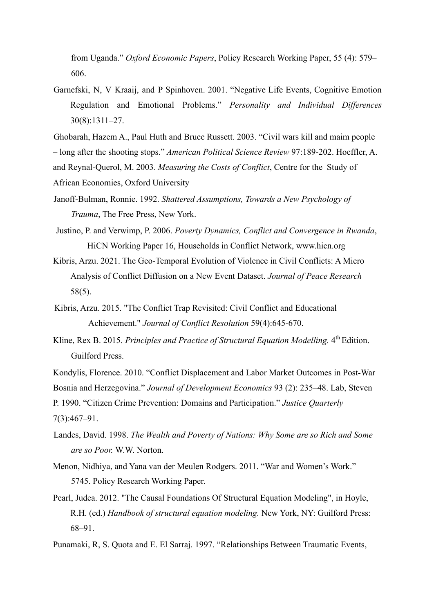from Uganda." *Oxford Economic Papers*, Policy Research Working Paper, 55 (4): 579– 606.

Garnefski, N, V Kraaij, and P Spinhoven. 2001. "Negative Life Events, Cognitive Emotion Regulation and Emotional Problems." *Personality and Individual Differences* 30(8):1311–27.

Ghobarah, Hazem A., Paul Huth and Bruce Russett. 2003. "Civil wars kill and maim people – long after the shooting stops." *American Political Science Review* 97:189-202. Hoeffler, A.

and Reynal-Querol, M. 2003. *Measuring the Costs of Conflict*, Centre for the Study of African Economies, Oxford University

Janoff-Bulman, Ronnie. 1992. *Shattered Assumptions, Towards a New Psychology of Trauma*, The Free Press, New York.

Justino, P. and Verwimp, P. 2006. *Poverty Dynamics, Conflict and Convergence in Rwanda*, HiCN Working Paper 16, Households in Conflict Network, www.hicn.org

Kibris, Arzu. 2021. The Geo-Temporal Evolution of Violence in Civil Conflicts: A Micro Analysis of Conflict Diffusion on a New Event Dataset. *Journal of Peace Research* 58(5).

Kibris, Arzu. 2015. "The Conflict Trap Revisited: Civil Conflict and Educational Achievement." *Journal of Conflict Resolution* 59(4):645-670.

Kline, Rex B. 2015. *Principles and Practice of Structural Equation Modelling*. 4<sup>th</sup> Edition. Guilford Press.

Kondylis, Florence. 2010. "Conflict Displacement and Labor Market Outcomes in Post-War

Bosnia and Herzegovina." *Journal of Development Economics* 93 (2): 235–48. Lab, Steven

P. 1990. "Citizen Crime Prevention: Domains and Participation." *Justice Quarterly* 7(3):467–91.

- Landes, David. 1998. *The Wealth and Poverty of Nations: Why Some are so Rich and Some are so Poor.* W.W. Norton.
- Menon, Nidhiya, and Yana van der Meulen Rodgers. 2011. "War and Women's Work." 5745. Policy Research Working Paper.
- Pearl, Judea. 2012. "The Causal Foundations Of Structural Equation Modeling", in Hoyle, R.H. (ed.) *Handbook of structural equation modeling.* New York, NY: Guilford Press: 68–91.

Punamaki, R, S. Quota and E. El Sarraj. 1997. "Relationships Between Traumatic Events,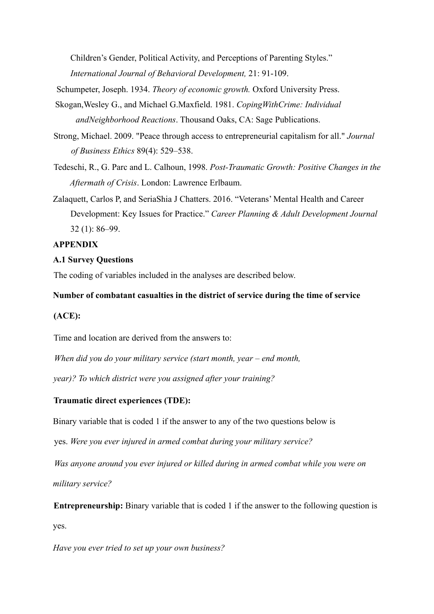Children's Gender, Political Activity, and Perceptions of Parenting Styles." *International Journal of Behavioral Development,* 21: 91-109.

Schumpeter, Joseph. 1934. *Theory of economic growth.* Oxford University Press.

- Skogan,Wesley G., and Michael G.Maxfield. 1981. *CopingWithCrime: Individual andNeighborhood Reactions*. Thousand Oaks, CA: Sage Publications.
- Strong, Michael. 2009. "Peace through access to entrepreneurial capitalism for all." *Journal of Business Ethics* 89(4): 529–538.
- Tedeschi, R., G. Parc and L. Calhoun, 1998. *Post-Traumatic Growth: Positive Changes in the Aftermath of Crisis*. London: Lawrence Erlbaum.
- Zalaquett, Carlos P, and SeriaShia J Chatters. 2016. "Veterans' Mental Health and Career Development: Key Issues for Practice." *Career Planning & Adult Development Journal* 32 (1): 86–99.

# **APPENDIX**

# **A.1 Survey Questions**

The coding of variables included in the analyses are described below.

## **Number of combatant casualties in the district of service during the time of service**

# **(ACE):**

Time and location are derived from the answers to:

*When did you do your military service (start month, year – end month,*

*year)? To which district were you assigned after your training?*

# **Traumatic direct experiences (TDE):**

Binary variable that is coded 1 if the answer to any of the two questions below is

yes. *Were you ever injured in armed combat during your military service?*

*Was anyone around you ever injured or killed during in armed combat while you were on military service?*

**Entrepreneurship:** Binary variable that is coded 1 if the answer to the following question is yes.

*Have you ever tried to set up your own business?*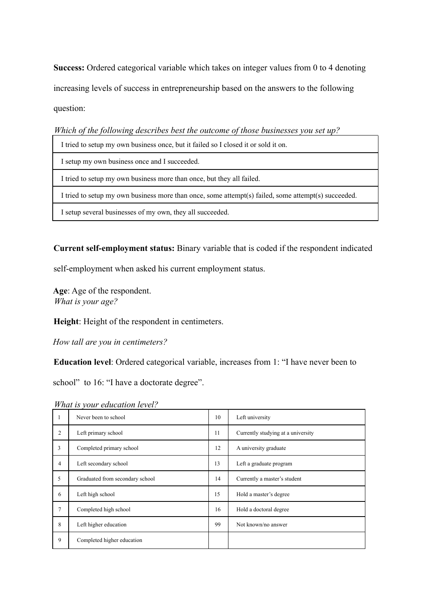**Success:** Ordered categorical variable which takes on integer values from 0 to 4 denoting increasing levels of success in entrepreneurship based on the answers to the following question:

*Which of the following describes best the outcome of those businesses you set up?*

| I tried to setup my own business once, but it failed so I closed it or sold it on.                  |
|-----------------------------------------------------------------------------------------------------|
| I setup my own business once and I succeeded.                                                       |
| I tried to setup my own business more than once, but they all failed.                               |
| I tried to setup my own business more than once, some attempt(s) failed, some attempt(s) succeeded. |
| I setup several businesses of my own, they all succeeded.                                           |

**Current self-employment status:** Binary variable that is coded if the respondent indicated

self-employment when asked his current employment status.

**Age**: Age of the respondent. *What is your age?*

**Height**: Height of the respondent in centimeters.

*How tall are you in centimeters?*

**Education level**: Ordered categorical variable, increases from 1: "I have never been to

school" to 16: "I have a doctorate degree".

1 Never been to school 10 Left university 2 Left primary school 11 Currently studying at a university 3 Completed primary school 12 A university graduate 4 Left secondary school 13 Left a graduate program 5 Graduated from secondary school 14 Currently a master's student 6 Left high school 15 Hold a master's degree 7 Completed high school 16 Hold a doctoral degree 8 Left higher education 99 Not known/no answer 9 Completed higher education

*What is your education level?*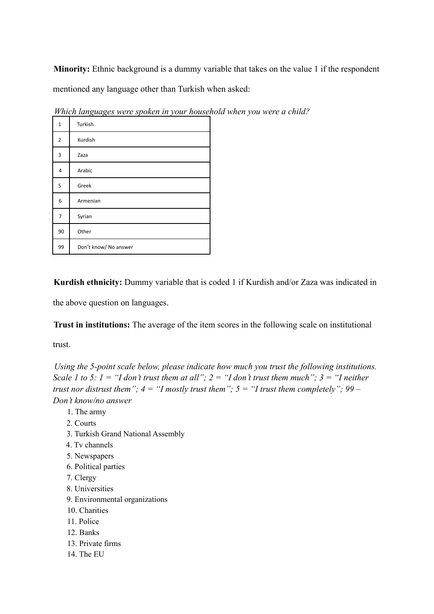**Minority:** Ethnic background is a dummy variable that takes on the value 1 if the respondent mentioned any language other than Turkish when asked:

| $\mathbf{1}$   | Turkish               |
|----------------|-----------------------|
| $\overline{2}$ | Kurdish               |
| 3              | Zaza                  |
| 4              | Arabic                |
| 5              | Greek                 |
| 6              | Armenian              |
| 7              | Syrian                |
| 90             | Other                 |
| 99             | Don't know/ No answer |

*Which languages were spoken in your household when you were a child?*

**Kurdish ethnicity:** Dummy variable that is coded 1 if Kurdish and/or Zaza was indicated in

the above question on languages.

**Trust in institutions:** The average of the item scores in the following scale on institutional

trust.

*Using the 5-point scale below, please indicate how much you trust the following institutions. Scale 1 to 5: 1 = "I don't trust them at all"; 2 = "I don't trust them much"; 3 = "I neither trust nor distrust them"; 4 = "I mostly trust them"; 5 = "I trust them completely"; 99 – Don't know/no answer*

- 1. The army
- 2. Courts
- 3. Turkish Grand National Assembly
- 4. Tv channels
- 5. Newspapers
- 6. Political parties
- 7. Clergy
- 8. Universities
- 9. Environmental organizations
- 10. Charities
- 11. Police
- 12. Banks
- 13. Private firms
- 14. The EU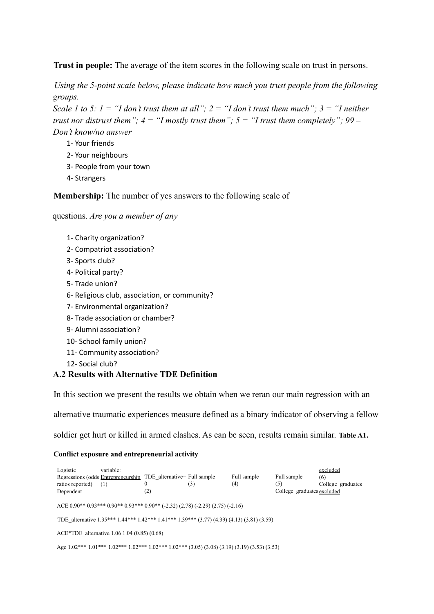**Trust in people:** The average of the item scores in the following scale on trust in persons.

*Using the 5-point scale below, please indicate how much you trust people from the following groups.*

*Scale 1 to 5: 1 = "I don't trust them at all": 2 = "I don't trust them much": 3 = "I neither trust nor distrust them";*  $4 = "I$  *mostly trust them";*  $5 = "I$  *trust them completely"; 99 – Don't know/no answer*

- 1- Your friends
- 2- Your neighbours
- 3- People from your town
- 4- Strangers

**Membership:** The number of yes answers to the following scale of

questions. *Are you a member of any*

- 1- Charity organization?
- 2- Compatriot association?
- 3- Sports club?
- 4- Political party?
- 5- Trade union?
- 6- Religious club, association, or community?
- 7- Environmental organization?
- 8- Trade association or chamber?
- 9- Alumni association?
- 10- School family union?
- 11- Community association?
- 12- Social club?

# **A.2 Results with Alternative TDE Definition**

In this section we present the results we obtain when we reran our main regression with an

alternative traumatic experiences measure defined as a binary indicator of observing a fellow

soldier get hurt or killed in armed clashes. As can be seen, results remain similar. **Table A1.**

## **Conflict exposure and entrepreneurial activity**

| Logistic<br>Regressions (odds Entrepreneurship TDE_alternative= Full sample<br>ratios reported)<br>Dependent | variable:<br>(1) | (2) | (3) | Full sample<br>(4) | Full sample<br>(5)<br>College graduates excluded | excluded<br>(6)<br>College graduates |
|--------------------------------------------------------------------------------------------------------------|------------------|-----|-----|--------------------|--------------------------------------------------|--------------------------------------|
| ACE 0.90** 0.93*** 0.90** 0.90** 0.90** (-2.32) (2.78) (-2.29) (2.75) (-2.16)                                |                  |     |     |                    |                                                  |                                      |
| TDE alternative 1.35*** 1.44*** 1.42*** 1.41*** 1.39*** (3.77) (4.39) (4.13) (3.81) (3.59)                   |                  |     |     |                    |                                                  |                                      |
| $ACE*TDE$ alternative 1.06 1.04 (0.85) (0.68)                                                                |                  |     |     |                    |                                                  |                                      |
| Age $1.02***1.01***1.02***1.02***1.02***1.02***1.02***$ $(3.05)(3.08)(3.19)(3.19)(3.53)(3.53)$               |                  |     |     |                    |                                                  |                                      |